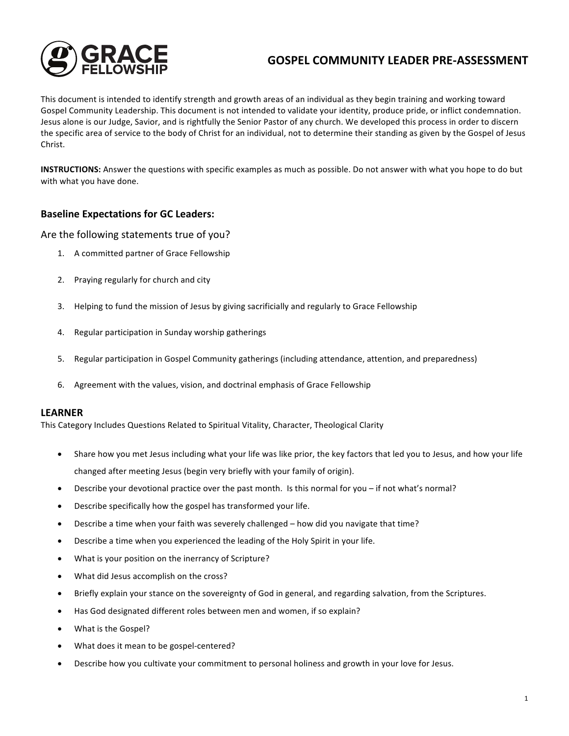

# **GOSPEL COMMUNITY LEADER PRE-ASSESSMENT**

This document is intended to identify strength and growth areas of an individual as they begin training and working toward Gospel Community Leadership. This document is not intended to validate your identity, produce pride, or inflict condemnation. Jesus alone is our Judge, Savior, and is rightfully the Senior Pastor of any church. We developed this process in order to discern the specific area of service to the body of Christ for an individual, not to determine their standing as given by the Gospel of Jesus Christ.

**INSTRUCTIONS:** Answer the questions with specific examples as much as possible. Do not answer with what you hope to do but with what you have done.

### **Baseline Expectations for GC Leaders:**

Are the following statements true of you?

- 1. A committed partner of Grace Fellowship
- 2. Praying regularly for church and city
- 3. Helping to fund the mission of Jesus by giving sacrificially and regularly to Grace Fellowship
- 4. Regular participation in Sunday worship gatherings
- 5. Regular participation in Gospel Community gatherings (including attendance, attention, and preparedness)
- 6. Agreement with the values, vision, and doctrinal emphasis of Grace Fellowship

#### **LEARNER**

This Category Includes Questions Related to Spiritual Vitality, Character, Theological Clarity

- Share how you met Jesus including what your life was like prior, the key factors that led you to Jesus, and how your life changed after meeting Jesus (begin very briefly with your family of origin).
- Describe your devotional practice over the past month. Is this normal for you if not what's normal?
- Describe specifically how the gospel has transformed your life.
- Describe a time when your faith was severely challenged how did you navigate that time?
- Describe a time when you experienced the leading of the Holy Spirit in your life.
- What is your position on the inerrancy of Scripture?
- What did Jesus accomplish on the cross?
- Briefly explain your stance on the sovereignty of God in general, and regarding salvation, from the Scriptures.
- Has God designated different roles between men and women, if so explain?
- What is the Gospel?
- What does it mean to be gospel-centered?
- Describe how you cultivate your commitment to personal holiness and growth in your love for Jesus.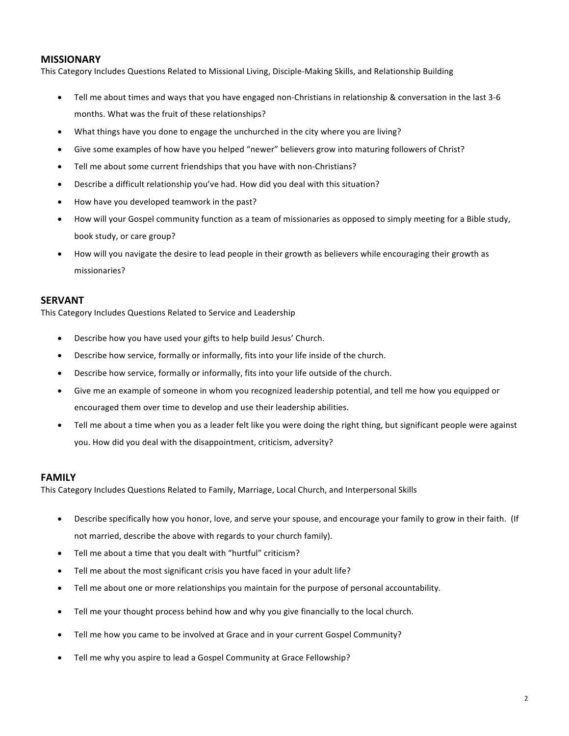#### **MISSIONARY**

This Category Includes Questions Related to Missional Living, Disciple-Making Skills, and Relationship Building

- Tell me about times and ways that you have engaged non-Christians in relationship & conversation in the last 3-6 months. What was the fruit of these relationships?
- What things have you done to engage the unchurched in the city where you are living?
- Give some examples of how have you helped "newer" believers grow into maturing followers of Christ?
- Tell me about some current friendships that you have with non-Christians?
- Describe a difficult relationship you've had. How did you deal with this situation?
- How have you developed teamwork in the past?
- How will your Gospel community function as a team of missionaries as opposed to simply meeting for a Bible study, book study, or care group?
- How will you navigate the desire to lead people in their growth as believers while encouraging their growth as missionaries?

#### **SERVANT**

This Category Includes Questions Related to Service and Leadership

- Describe how you have used your gifts to help build Jesus' Church.
- Describe how service, formally or informally, fits into your life inside of the church.
- Describe how service, formally or informally, fits into your life outside of the church.
- Give me an example of someone in whom you recognized leadership potential, and tell me how you equipped or encouraged them over time to develop and use their leadership abilities.
- Tell me about a time when you as a leader felt like you were doing the right thing, but significant people were against you. How did you deal with the disappointment, criticism, adversity?

### **FAMILY**

This Category Includes Questions Related to Family, Marriage, Local Church, and Interpersonal Skills

- Describe specifically how you honor, love, and serve your spouse, and encourage your family to grow in their faith. (If not married, describe the above with regards to your church family).
- Tell me about a time that you dealt with "hurtful" criticism?
- Tell me about the most significant crisis you have faced in your adult life?
- Tell me about one or more relationships you maintain for the purpose of personal accountability.
- Tell me your thought process behind how and why you give financially to the local church.
- Tell me how you came to be involved at Grace and in your current Gospel Community?
- Tell me why you aspire to lead a Gospel Community at Grace Fellowship?